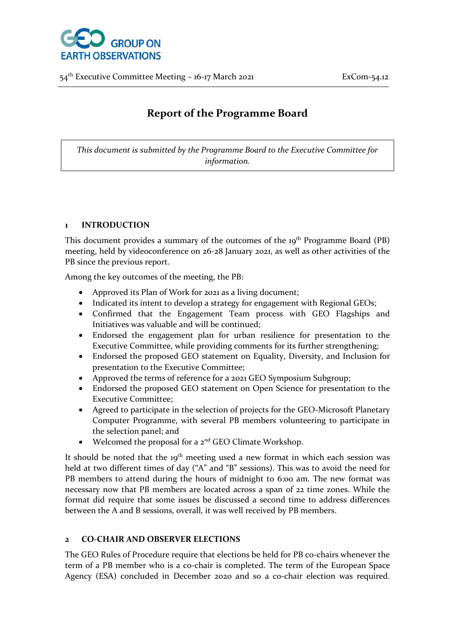

54th Executive Committee Meeting – 16-17 March 2021 ExCom-54.12

# **Report of the Programme Board**

*This document is submitted by the Programme Board to the Executive Committee for information.*

#### **1 INTRODUCTION**

This document provides a summary of the outcomes of the 19<sup>th</sup> Programme Board (PB) meeting, held by videoconference on 26-28 January 2021, as well as other activities of the PB since the previous report.

Among the key outcomes of the meeting, the PB:

- Approved its Plan of Work for 2021 as a living document;
- Indicated its intent to develop a strategy for engagement with Regional GEOs;
- Confirmed that the Engagement Team process with GEO Flagships and Initiatives was valuable and will be continued;
- Endorsed the engagement plan for urban resilience for presentation to the Executive Committee, while providing comments for its further strengthening;
- Endorsed the proposed GEO statement on Equality, Diversity, and Inclusion for presentation to the Executive Committee;
- Approved the terms of reference for a 2021 GEO Symposium Subgroup;
- Endorsed the proposed GEO statement on Open Science for presentation to the Executive Committee;
- Agreed to participate in the selection of projects for the GEO-Microsoft Planetary Computer Programme, with several PB members volunteering to participate in the selection panel; and
- Welcomed the proposal for a  $2<sup>nd</sup> GEO$  Climate Workshop.

It should be noted that the  $19<sup>th</sup>$  meeting used a new format in which each session was held at two different times of day ("A" and "B" sessions). This was to avoid the need for PB members to attend during the hours of midnight to 6:00 am. The new format was necessary now that PB members are located across a span of 22 time zones. While the format did require that some issues be discussed a second time to address differences between the A and B sessions, overall, it was well received by PB members.

# **2 CO-CHAIR AND OBSERVER ELECTIONS**

The GEO Rules of Procedure require that elections be held for PB co-chairs whenever the term of a PB member who is a co-chair is completed. The term of the European Space Agency (ESA) concluded in December 2020 and so a co-chair election was required.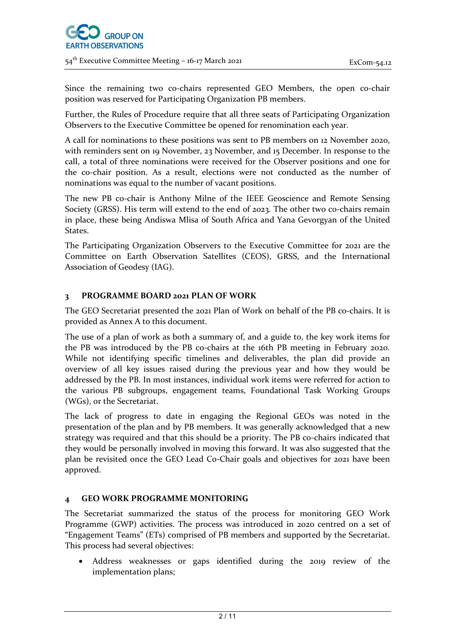Since the remaining two co-chairs represented GEO Members, the open co-chair position was reserved for Participating Organization PB members.

Further, the Rules of Procedure require that all three seats of Participating Organization Observers to the Executive Committee be opened for renomination each year.

A call for nominations to these positions was sent to PB members on 12 November 2020, with reminders sent on 19 November, 23 November, and 15 December. In response to the call, a total of three nominations were received for the Observer positions and one for the co-chair position. As a result, elections were not conducted as the number of nominations was equal to the number of vacant positions.

The new PB co-chair is Anthony Milne of the IEEE Geoscience and Remote Sensing Society (GRSS). His term will extend to the end of 2023. The other two co-chairs remain in place, these being Andiswa Mlisa of South Africa and Yana Gevorgyan of the United States.

The Participating Organization Observers to the Executive Committee for 2021 are the Committee on Earth Observation Satellites (CEOS), GRSS, and the International Association of Geodesy (IAG).

#### **3 PROGRAMME BOARD 2021 PLAN OF WORK**

The GEO Secretariat presented the 2021 Plan of Work on behalf of the PB co-chairs. It is provided as Annex A to this document.

The use of a plan of work as both a summary of, and a guide to, the key work items for the PB was introduced by the PB co-chairs at the 16th PB meeting in February 2020. While not identifying specific timelines and deliverables, the plan did provide an overview of all key issues raised during the previous year and how they would be addressed by the PB. In most instances, individual work items were referred for action to the various PB subgroups, engagement teams, Foundational Task Working Groups (WGs), or the Secretariat.

The lack of progress to date in engaging the Regional GEOs was noted in the presentation of the plan and by PB members. It was generally acknowledged that a new strategy was required and that this should be a priority. The PB co-chairs indicated that they would be personally involved in moving this forward. It was also suggested that the plan be revisited once the GEO Lead Co-Chair goals and objectives for 2021 have been approved.

#### **4 GEO WORK PROGRAMME MONITORING**

The Secretariat summarized the status of the process for monitoring GEO Work Programme (GWP) activities. The process was introduced in 2020 centred on a set of "Engagement Teams" (ETs) comprised of PB members and supported by the Secretariat. This process had several objectives:

• Address weaknesses or gaps identified during the 2019 review of the implementation plans;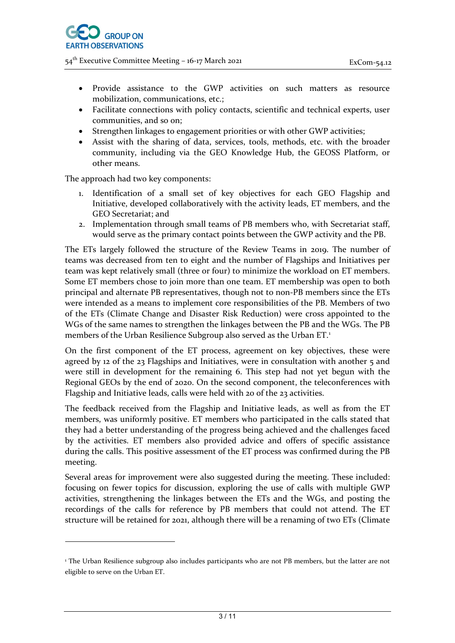54<sup>th</sup> Executive Committee Meeting – 16-17 March 2021 **ExCom-54.12** 

- Provide assistance to the GWP activities on such matters as resource mobilization, communications, etc.;
- Facilitate connections with policy contacts, scientific and technical experts, user communities, and so on;
- Strengthen linkages to engagement priorities or with other GWP activities;
- Assist with the sharing of data, services, tools, methods, etc. with the broader community, including via the GEO Knowledge Hub, the GEOSS Platform, or other means.

The approach had two key components:

- 1. Identification of a small set of key objectives for each GEO Flagship and Initiative, developed collaboratively with the activity leads, ET members, and the GEO Secretariat; and
- 2. Implementation through small teams of PB members who, with Secretariat staff, would serve as the primary contact points between the GWP activity and the PB.

The ETs largely followed the structure of the Review Teams in 2019. The number of teams was decreased from ten to eight and the number of Flagships and Initiatives per team was kept relatively small (three or four) to minimize the workload on ET members. Some ET members chose to join more than one team. ET membership was open to both principal and alternate PB representatives, though not to non-PB members since the ETs were intended as a means to implement core responsibilities of the PB. Members of two of the ETs (Climate Change and Disaster Risk Reduction) were cross appointed to the WGs of the same names to strengthen the linkages between the PB and the WGs. The PB members of the Urban Resilience Subgroup also served as the Urban ET.<sup>[1](#page-2-0)</sup>

On the first component of the ET process, agreement on key objectives, these were agreed by 12 of the 23 Flagships and Initiatives, were in consultation with another 5 and were still in development for the remaining 6. This step had not yet begun with the Regional GEOs by the end of 2020. On the second component, the teleconferences with Flagship and Initiative leads, calls were held with 20 of the 23 activities.

The feedback received from the Flagship and Initiative leads, as well as from the ET members, was uniformly positive. ET members who participated in the calls stated that they had a better understanding of the progress being achieved and the challenges faced by the activities. ET members also provided advice and offers of specific assistance during the calls. This positive assessment of the ET process was confirmed during the PB meeting.

Several areas for improvement were also suggested during the meeting. These included: focusing on fewer topics for discussion, exploring the use of calls with multiple GWP activities, strengthening the linkages between the ETs and the WGs, and posting the recordings of the calls for reference by PB members that could not attend. The ET structure will be retained for 2021, although there will be a renaming of two ETs (Climate

<span id="page-2-0"></span><sup>&</sup>lt;sup>1</sup> The Urban Resilience subgroup also includes participants who are not PB members, but the latter are not eligible to serve on the Urban ET.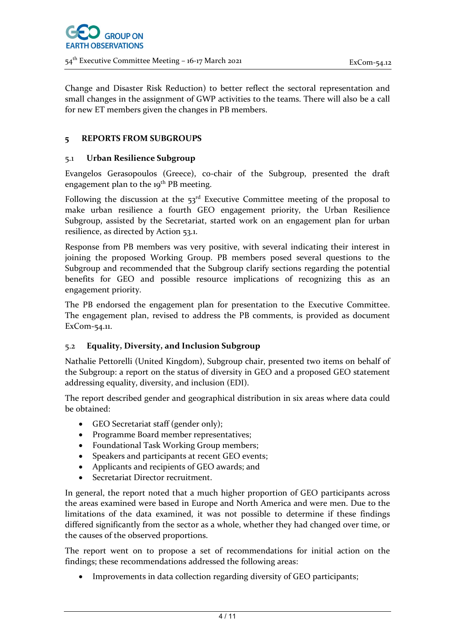54<sup>th</sup> Executive Committee Meeting – 16-17 March 2021 **ExCom-54.12** 

Change and Disaster Risk Reduction) to better reflect the sectoral representation and small changes in the assignment of GWP activities to the teams. There will also be a call for new ET members given the changes in PB members.

# **5 REPORTS FROM SUBGROUPS**

# 5.1 **Urban Resilience Subgroup**

Evangelos Gerasopoulos (Greece), co-chair of the Subgroup, presented the draft engagement plan to the 19<sup>th</sup> PB meeting.

Following the discussion at the  $53<sup>rd</sup>$  Executive Committee meeting of the proposal to make urban resilience a fourth GEO engagement priority, the Urban Resilience Subgroup, assisted by the Secretariat, started work on an engagement plan for urban resilience, as directed by Action 53.1.

Response from PB members was very positive, with several indicating their interest in joining the proposed Working Group. PB members posed several questions to the Subgroup and recommended that the Subgroup clarify sections regarding the potential benefits for GEO and possible resource implications of recognizing this as an engagement priority.

The PB endorsed the engagement plan for presentation to the Executive Committee. The engagement plan, revised to address the PB comments, is provided as document ExCom-54.11.

# 5.2 **Equality, Diversity, and Inclusion Subgroup**

Nathalie Pettorelli (United Kingdom), Subgroup chair, presented two items on behalf of the Subgroup: a report on the status of diversity in GEO and a proposed GEO statement addressing equality, diversity, and inclusion (EDI).

The report described gender and geographical distribution in six areas where data could be obtained:

- GEO Secretariat staff (gender only);
- Programme Board member representatives;
- Foundational Task Working Group members;
- Speakers and participants at recent GEO events;
- Applicants and recipients of GEO awards; and
- Secretariat Director recruitment.

In general, the report noted that a much higher proportion of GEO participants across the areas examined were based in Europe and North America and were men. Due to the limitations of the data examined, it was not possible to determine if these findings differed significantly from the sector as a whole, whether they had changed over time, or the causes of the observed proportions.

The report went on to propose a set of recommendations for initial action on the findings; these recommendations addressed the following areas:

• Improvements in data collection regarding diversity of GEO participants;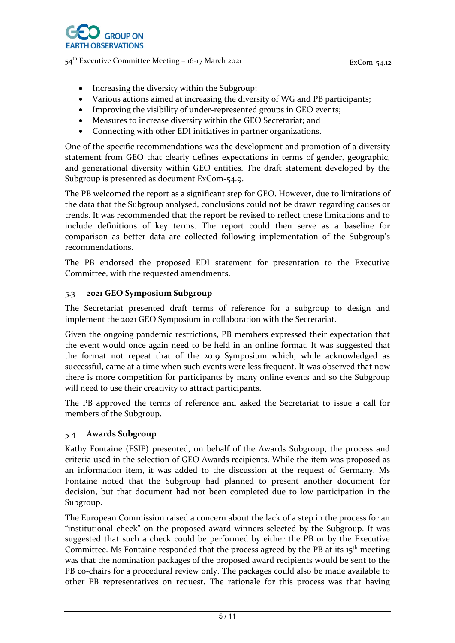54th Executive Committee Meeting – 16-17 March 2021 ExCom-54.12

- Increasing the diversity within the Subgroup;
- Various actions aimed at increasing the diversity of WG and PB participants;
- Improving the visibility of under-represented groups in GEO events;
- Measures to increase diversity within the GEO Secretariat; and
- Connecting with other EDI initiatives in partner organizations.

One of the specific recommendations was the development and promotion of a diversity statement from GEO that clearly defines expectations in terms of gender, geographic, and generational diversity within GEO entities. The draft statement developed by the Subgroup is presented as document ExCom-54.9.

The PB welcomed the report as a significant step for GEO. However, due to limitations of the data that the Subgroup analysed, conclusions could not be drawn regarding causes or trends. It was recommended that the report be revised to reflect these limitations and to include definitions of key terms. The report could then serve as a baseline for comparison as better data are collected following implementation of the Subgroup's recommendations.

The PB endorsed the proposed EDI statement for presentation to the Executive Committee, with the requested amendments.

#### 5.3 **2021 GEO Symposium Subgroup**

The Secretariat presented draft terms of reference for a subgroup to design and implement the 2021 GEO Symposium in collaboration with the Secretariat.

Given the ongoing pandemic restrictions, PB members expressed their expectation that the event would once again need to be held in an online format. It was suggested that the format not repeat that of the 2019 Symposium which, while acknowledged as successful, came at a time when such events were less frequent. It was observed that now there is more competition for participants by many online events and so the Subgroup will need to use their creativity to attract participants.

The PB approved the terms of reference and asked the Secretariat to issue a call for members of the Subgroup.

#### 5.4 **Awards Subgroup**

Kathy Fontaine (ESIP) presented, on behalf of the Awards Subgroup, the process and criteria used in the selection of GEO Awards recipients. While the item was proposed as an information item, it was added to the discussion at the request of Germany. Ms Fontaine noted that the Subgroup had planned to present another document for decision, but that document had not been completed due to low participation in the Subgroup.

The European Commission raised a concern about the lack of a step in the process for an "institutional check" on the proposed award winners selected by the Subgroup. It was suggested that such a check could be performed by either the PB or by the Executive Committee. Ms Fontaine responded that the process agreed by the PB at its  $15<sup>th</sup>$  meeting was that the nomination packages of the proposed award recipients would be sent to the PB co-chairs for a procedural review only. The packages could also be made available to other PB representatives on request. The rationale for this process was that having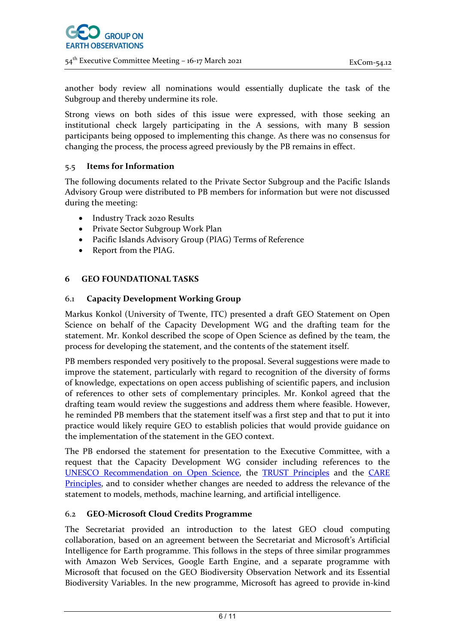another body review all nominations would essentially duplicate the task of the Subgroup and thereby undermine its role.

Strong views on both sides of this issue were expressed, with those seeking an institutional check largely participating in the A sessions, with many B session participants being opposed to implementing this change. As there was no consensus for changing the process, the process agreed previously by the PB remains in effect.

# 5.5 **Items for Information**

The following documents related to the Private Sector Subgroup and the Pacific Islands Advisory Group were distributed to PB members for information but were not discussed during the meeting:

- Industry Track 2020 Results
- Private Sector Subgroup Work Plan
- Pacific Islands Advisory Group (PIAG) Terms of Reference
- Report from the PIAG.

#### **6 GEO FOUNDATIONAL TASKS**

#### 6.1 **Capacity Development Working Group**

Markus Konkol (University of Twente, ITC) presented a draft GEO Statement on Open Science on behalf of the Capacity Development WG and the drafting team for the statement. Mr. Konkol described the scope of Open Science as defined by the team, the process for developing the statement, and the contents of the statement itself.

PB members responded very positively to the proposal. Several suggestions were made to improve the statement, particularly with regard to recognition of the diversity of forms of knowledge, expectations on open access publishing of scientific papers, and inclusion of references to other sets of complementary principles. Mr. Konkol agreed that the drafting team would review the suggestions and address them where feasible. However, he reminded PB members that the statement itself was a first step and that to put it into practice would likely require GEO to establish policies that would provide guidance on the implementation of the statement in the GEO context.

The PB endorsed the statement for presentation to the Executive Committee, with a request that the Capacity Development WG consider including references to the [UNESCO Recommendation](https://unesdoc.unesco.org/ark:/48223/pf0000374837) on Open Science, the [TRUST Principles](https://www.rd-alliance.org/trust-principles-rda-community-effort) and the [CARE](https://www.gida-global.org/care)  [Principles,](https://www.gida-global.org/care) and to consider whether changes are needed to address the relevance of the statement to models, methods, machine learning, and artificial intelligence.

#### 6.2 **GEO-Microsoft Cloud Credits Programme**

The Secretariat provided an introduction to the latest GEO cloud computing collaboration, based on an agreement between the Secretariat and Microsoft's Artificial Intelligence for Earth programme. This follows in the steps of three similar programmes with Amazon Web Services, Google Earth Engine, and a separate programme with Microsoft that focused on the GEO Biodiversity Observation Network and its Essential Biodiversity Variables. In the new programme, Microsoft has agreed to provide in-kind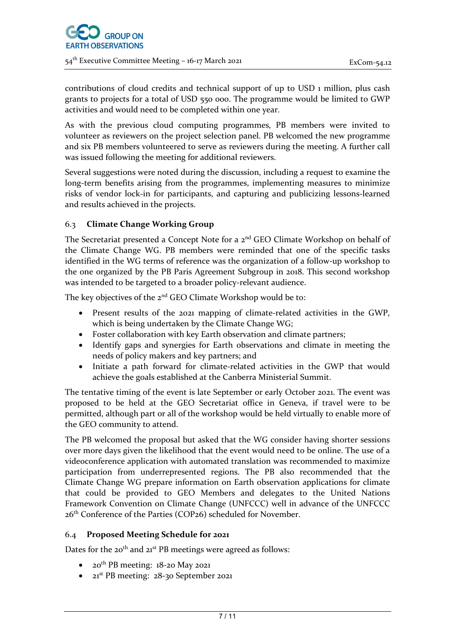

contributions of cloud credits and technical support of up to USD 1 million, plus cash grants to projects for a total of USD 550 000. The programme would be limited to GWP activities and would need to be completed within one year.

As with the previous cloud computing programmes, PB members were invited to volunteer as reviewers on the project selection panel. PB welcomed the new programme and six PB members volunteered to serve as reviewers during the meeting. A further call was issued following the meeting for additional reviewers.

Several suggestions were noted during the discussion, including a request to examine the long-term benefits arising from the programmes, implementing measures to minimize risks of vendor lock-in for participants, and capturing and publicizing lessons-learned and results achieved in the projects.

# 6.3 **Climate Change Working Group**

The Secretariat presented a Concept Note for a 2<sup>nd</sup> GEO Climate Workshop on behalf of the Climate Change WG. PB members were reminded that one of the specific tasks identified in the WG terms of reference was the organization of a follow-up workshop to the one organized by the PB Paris Agreement Subgroup in 2018. This second workshop was intended to be targeted to a broader policy-relevant audience.

The key objectives of the 2<sup>nd</sup> GEO Climate Workshop would be to:

- Present results of the 2021 mapping of climate-related activities in the GWP, which is being undertaken by the Climate Change WG;
- Foster collaboration with key Earth observation and climate partners;
- Identify gaps and synergies for Earth observations and climate in meeting the needs of policy makers and key partners; and
- Initiate a path forward for climate-related activities in the GWP that would achieve the goals established at the Canberra Ministerial Summit.

The tentative timing of the event is late September or early October 2021. The event was proposed to be held at the GEO Secretariat office in Geneva, if travel were to be permitted, although part or all of the workshop would be held virtually to enable more of the GEO community to attend.

The PB welcomed the proposal but asked that the WG consider having shorter sessions over more days given the likelihood that the event would need to be online. The use of a videoconference application with automated translation was recommended to maximize participation from underrepresented regions. The PB also recommended that the Climate Change WG prepare information on Earth observation applications for climate that could be provided to GEO Members and delegates to the United Nations Framework Convention on Climate Change (UNFCCC) well in advance of the UNFCCC 26th Conference of the Parties (COP26) scheduled for November.

#### 6.4 **Proposed Meeting Schedule for 2021**

Dates for the  $20^{th}$  and  $21^{st}$  PB meetings were agreed as follows:

- $20^{th}$  PB meeting:  $18$ -20 May 2021
- 21<sup>st</sup> PB meeting: 28-30 September 2021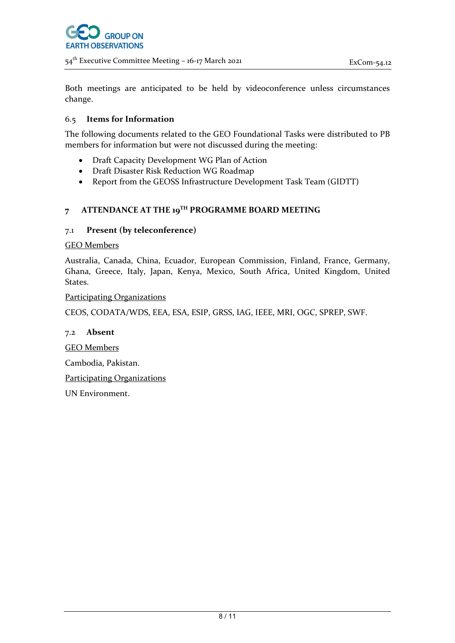54th Executive Committee Meeting – 16-17 March 2021 ExCom-54.12

Both meetings are anticipated to be held by videoconference unless circumstances change.

#### 6.5 **Items for Information**

The following documents related to the GEO Foundational Tasks were distributed to PB members for information but were not discussed during the meeting:

- Draft Capacity Development WG Plan of Action
- Draft Disaster Risk Reduction WG Roadmap
- Report from the GEOSS Infrastructure Development Task Team (GIDTT)

#### **7 ATTENDANCE AT THE 19TH PROGRAMME BOARD MEETING**

#### 7.1 **Present (by teleconference)**

#### GEO Members

Australia, Canada, China, Ecuador, European Commission, Finland, France, Germany, Ghana, Greece, Italy, Japan, Kenya, Mexico, South Africa, United Kingdom, United States.

Participating Organizations

CEOS, CODATA/WDS, EEA, ESA, ESIP, GRSS, IAG, IEEE, MRI, OGC, SPREP, SWF.

#### 7.2 **Absent**

GEO Members

Cambodia, Pakistan.

Participating Organizations

UN Environment.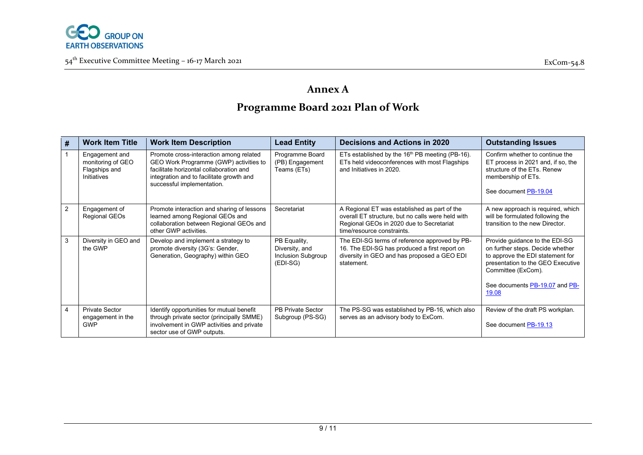

54<sup>th</sup> Executive Committee Meeting – 16-17 March 2021 **Example 2018** Excom-54.8

# **Annex A Programme Board 2021 Plan of Work**

| # | <b>Work Item Title</b>                                              | <b>Work Item Description</b>                                                                                                                                                                           | <b>Lead Entity</b>                                               | Decisions and Actions in 2020                                                                                                                                               | <b>Outstanding Issues</b>                                                                                                                                                                                    |
|---|---------------------------------------------------------------------|--------------------------------------------------------------------------------------------------------------------------------------------------------------------------------------------------------|------------------------------------------------------------------|-----------------------------------------------------------------------------------------------------------------------------------------------------------------------------|--------------------------------------------------------------------------------------------------------------------------------------------------------------------------------------------------------------|
|   | Engagement and<br>monitoring of GEO<br>Flagships and<br>Initiatives | Promote cross-interaction among related<br>GEO Work Programme (GWP) activities to<br>facilitate horizontal collaboration and<br>integration and to facilitate growth and<br>successful implementation. | Programme Board<br>(PB) Engagement<br>Teams (ETs)                | ETs established by the $16th$ PB meeting (PB-16).<br>ETs held videoconferences with most Flagships<br>and Initiatives in 2020.                                              | Confirm whether to continue the<br>ET process in 2021 and, if so, the<br>structure of the ETs. Renew<br>membership of ETs.<br>See document PB-19.04                                                          |
| 2 | Engagement of<br>Regional GEOs                                      | Promote interaction and sharing of lessons<br>learned among Regional GEOs and<br>collaboration between Regional GEOs and<br>other GWP activities.                                                      | Secretariat                                                      | A Regional ET was established as part of the<br>overall ET structure, but no calls were held with<br>Regional GEOs in 2020 due to Secretariat<br>time/resource constraints. | A new approach is required, which<br>will be formulated following the<br>transition to the new Director.                                                                                                     |
| 3 | Diversity in GEO and<br>the GWP                                     | Develop and implement a strategy to<br>promote diversity (3G's: Gender,<br>Generation, Geography) within GEO                                                                                           | PB Equality,<br>Diversity, and<br>Inclusion Subgroup<br>(EDI-SG) | The EDI-SG terms of reference approved by PB-<br>16. The EDI-SG has produced a first report on<br>diversity in GEO and has proposed a GEO EDI<br>statement.                 | Provide guidance to the EDI-SG<br>on further steps. Decide whether<br>to approve the EDI statement for<br>presentation to the GEO Executive<br>Committee (ExCom).<br>See documents PB-19.07 and PB-<br>19.08 |
| 4 | <b>Private Sector</b><br>engagement in the<br><b>GWP</b>            | Identify opportunities for mutual benefit<br>through private sector (principally SMME)<br>involvement in GWP activities and private<br>sector use of GWP outputs.                                      | <b>PB Private Sector</b><br>Subgroup (PS-SG)                     | The PS-SG was established by PB-16, which also<br>serves as an advisory body to ExCom.                                                                                      | Review of the draft PS workplan.<br>See document PB-19.13                                                                                                                                                    |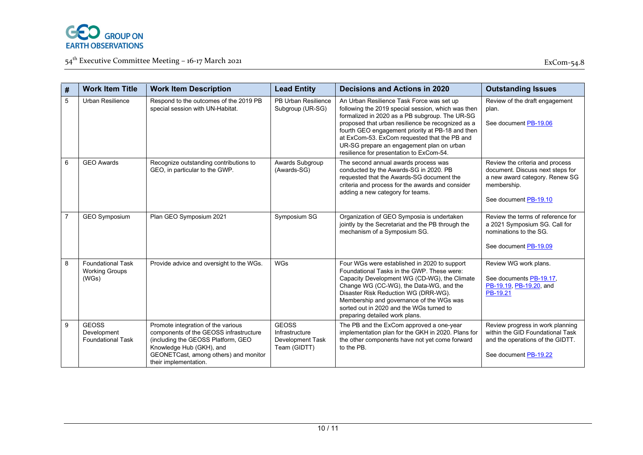

54<sup>th</sup> Executive Committee Meeting – 16-17 March 2021 **Example 2018** Excom-54.8

| #              | <b>Work Item Title</b>                                     | <b>Work Item Description</b>                                                                                                                                                                                     | <b>Lead Entity</b>                                                        | <b>Decisions and Actions in 2020</b>                                                                                                                                                                                                                                                                                                                                                                | <b>Outstanding Issues</b>                                                                                                                     |
|----------------|------------------------------------------------------------|------------------------------------------------------------------------------------------------------------------------------------------------------------------------------------------------------------------|---------------------------------------------------------------------------|-----------------------------------------------------------------------------------------------------------------------------------------------------------------------------------------------------------------------------------------------------------------------------------------------------------------------------------------------------------------------------------------------------|-----------------------------------------------------------------------------------------------------------------------------------------------|
| 5              | Urban Resilience                                           | Respond to the outcomes of the 2019 PB<br>special session with UN-Habitat.                                                                                                                                       | PB Urban Resilience<br>Subgroup (UR-SG)                                   | An Urban Resilience Task Force was set up<br>following the 2019 special session, which was then<br>formalized in 2020 as a PB subgroup. The UR-SG<br>proposed that urban resilience be recognized as a<br>fourth GEO engagement priority at PB-18 and then<br>at ExCom-53. ExCom requested that the PB and<br>UR-SG prepare an engagement plan on urban<br>resilience for presentation to ExCom-54. | Review of the draft engagement<br>plan.<br>See document PB-19.06                                                                              |
| 6              | <b>GEO Awards</b>                                          | Recognize outstanding contributions to<br>GEO, in particular to the GWP.                                                                                                                                         | Awards Subgroup<br>(Awards-SG)                                            | The second annual awards process was<br>conducted by the Awards-SG in 2020. PB<br>requested that the Awards-SG document the<br>criteria and process for the awards and consider<br>adding a new category for teams.                                                                                                                                                                                 | Review the criteria and process<br>document. Discuss next steps for<br>a new award category. Renew SG<br>membership.<br>See document PB-19.10 |
| $\overline{7}$ | <b>GEO Symposium</b>                                       | Plan GEO Symposium 2021                                                                                                                                                                                          | Symposium SG                                                              | Organization of GEO Symposia is undertaken<br>jointly by the Secretariat and the PB through the<br>mechanism of a Symposium SG.                                                                                                                                                                                                                                                                     | Review the terms of reference for<br>a 2021 Symposium SG. Call for<br>nominations to the SG.<br>See document PB-19.09                         |
| 8              | <b>Foundational Task</b><br><b>Working Groups</b><br>(WGs) | Provide advice and oversight to the WGs.                                                                                                                                                                         | <b>WGs</b>                                                                | Four WGs were established in 2020 to support<br>Foundational Tasks in the GWP. These were:<br>Capacity Development WG (CD-WG), the Climate<br>Change WG (CC-WG), the Data-WG, and the<br>Disaster Risk Reduction WG (DRR-WG).<br>Membership and governance of the WGs was<br>sorted out in 2020 and the WGs turned to<br>preparing detailed work plans.                                             | Review WG work plans.<br>See documents PB-19.17,<br>PB-19.19, PB-19.20, and<br>PB-19.21                                                       |
| 9              | <b>GEOSS</b><br>Development<br><b>Foundational Task</b>    | Promote integration of the various<br>components of the GEOSS infrastructure<br>(including the GEOSS Platform, GEO<br>Knowledge Hub (GKH), and<br>GEONETCast, among others) and monitor<br>their implementation. | <b>GEOSS</b><br>Infrastructure<br><b>Development Task</b><br>Team (GIDTT) | The PB and the ExCom approved a one-year<br>implementation plan for the GKH in 2020. Plans for<br>the other components have not yet come forward<br>to the PB.                                                                                                                                                                                                                                      | Review progress in work planning<br>within the GID Foundational Task<br>and the operations of the GIDTT.<br>See document PB-19.22             |